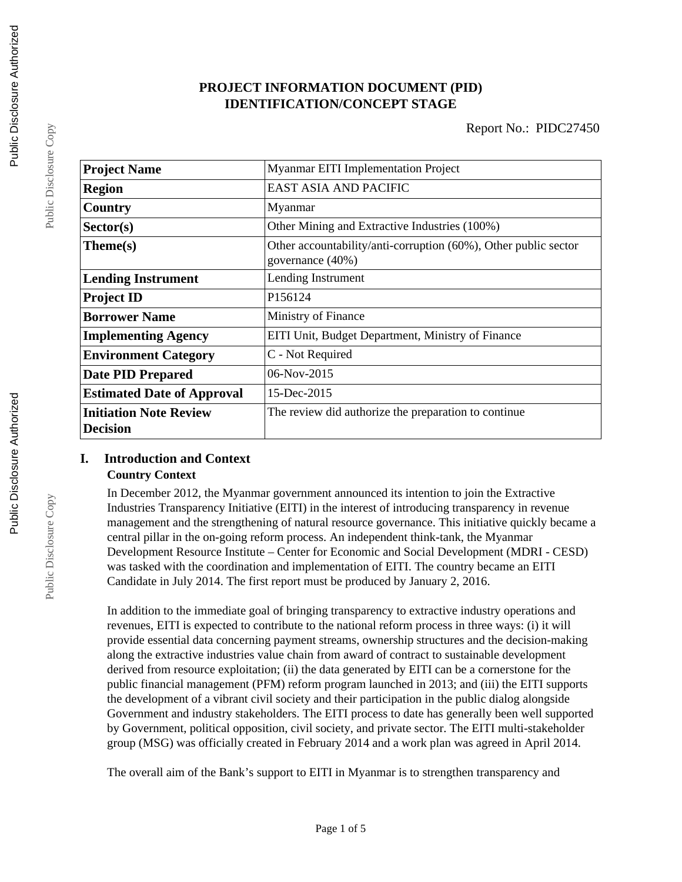# **PROJECT INFORMATION DOCUMENT (PID) IDENTIFICATION/CONCEPT STAGE**

| <b>Project Name</b>                              | Myanmar EITI Implementation Project                                                 |  |  |
|--------------------------------------------------|-------------------------------------------------------------------------------------|--|--|
| <b>Region</b>                                    | EAST ASIA AND PACIFIC                                                               |  |  |
| Country                                          | Myanmar                                                                             |  |  |
| Sector(s)                                        | Other Mining and Extractive Industries (100%)                                       |  |  |
| Theme(s)                                         | Other accountability/anti-corruption (60%), Other public sector<br>governance (40%) |  |  |
| <b>Lending Instrument</b>                        | Lending Instrument                                                                  |  |  |
| <b>Project ID</b>                                | P156124                                                                             |  |  |
| <b>Borrower Name</b>                             | Ministry of Finance                                                                 |  |  |
| <b>Implementing Agency</b>                       | EITI Unit, Budget Department, Ministry of Finance                                   |  |  |
| <b>Environment Category</b>                      | C - Not Required                                                                    |  |  |
| <b>Date PID Prepared</b>                         | $06-Nov-2015$                                                                       |  |  |
| <b>Estimated Date of Approval</b>                | 15-Dec-2015                                                                         |  |  |
| <b>Initiation Note Review</b><br><b>Decision</b> | The review did authorize the preparation to continue                                |  |  |

# **I. Introduction and Context**

# **Country Context**

In December 2012, the Myanmar government announced its intention to join the Extractive Industries Transparency Initiative (EITI) in the interest of introducing transparency in revenue management and the strengthening of natural resource governance. This initiative quickly became a central pillar in the on-going reform process. An independent think-tank, the Myanmar Development Resource Institute – Center for Economic and Social Development (MDRI - CESD) was tasked with the coordination and implementation of EITI. The country became an EITI Candidate in July 2014. The first report must be produced by January 2, 2016.

In addition to the immediate goal of bringing transparency to extractive industry operations and revenues, EITI is expected to contribute to the national reform process in three ways: (i) it will provide essential data concerning payment streams, ownership structures and the decision-making along the extractive industries value chain from award of contract to sustainable development derived from resource exploitation; (ii) the data generated by EITI can be a cornerstone for the public financial management (PFM) reform program launched in 2013; and (iii) the EITI supports the development of a vibrant civil society and their participation in the public dialog alongside Government and industry stakeholders. The EITI process to date has generally been well supported by Government, political opposition, civil society, and private sector. The EITI multi-stakeholder group (MSG) was officially created in February 2014 and a work plan was agreed in April 2014.

The overall aim of the Bank's support to EITI in Myanmar is to strengthen transparency and

Public Disclosure Copy

Public Disclosure Copy

Public Disclosure Copy

Public Disclosure Copy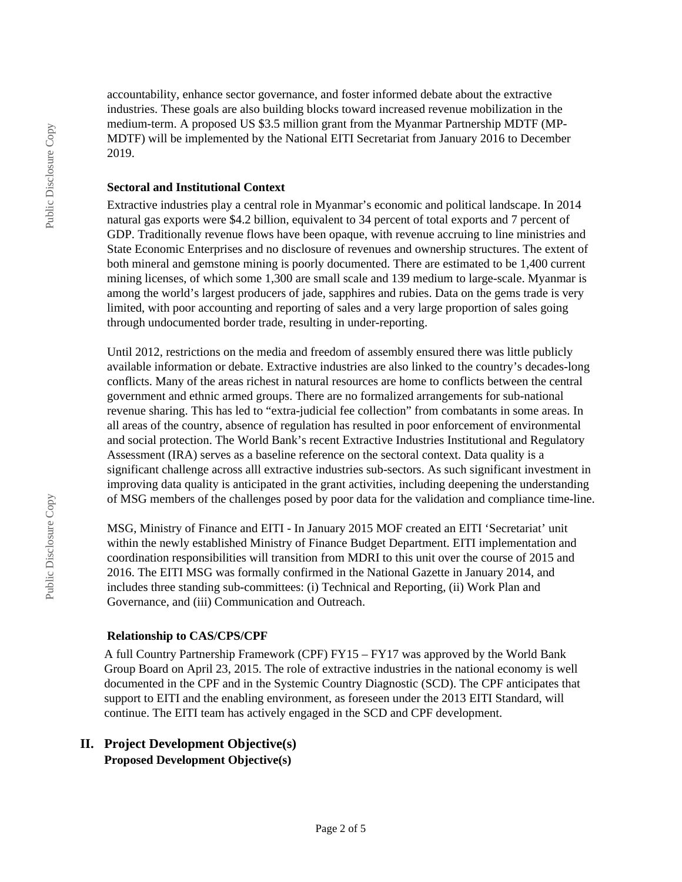accountability, enhance sector governance, and foster informed debate about the extractive industries. These goals are also building blocks toward increased revenue mobilization in the medium-term. A proposed US \$3.5 million grant from the Myanmar Partnership MDTF (MP-MDTF) will be implemented by the National EITI Secretariat from January 2016 to December 2019.

#### **Sectoral and Institutional Context**

Extractive industries play a central role in Myanmar's economic and political landscape. In 2014 natural gas exports were \$4.2 billion, equivalent to 34 percent of total exports and 7 percent of GDP. Traditionally revenue flows have been opaque, with revenue accruing to line ministries and State Economic Enterprises and no disclosure of revenues and ownership structures. The extent of both mineral and gemstone mining is poorly documented. There are estimated to be 1,400 current mining licenses, of which some 1,300 are small scale and 139 medium to large-scale. Myanmar is among the world's largest producers of jade, sapphires and rubies. Data on the gems trade is very limited, with poor accounting and reporting of sales and a very large proportion of sales going through undocumented border trade, resulting in under-reporting.

Until 2012, restrictions on the media and freedom of assembly ensured there was little publicly available information or debate. Extractive industries are also linked to the country's decades-long conflicts. Many of the areas richest in natural resources are home to conflicts between the central government and ethnic armed groups. There are no formalized arrangements for sub-national revenue sharing. This has led to "extra-judicial fee collection" from combatants in some areas. In all areas of the country, absence of regulation has resulted in poor enforcement of environmental and social protection. The World Bank's recent Extractive Industries Institutional and Regulatory Assessment (IRA) serves as a baseline reference on the sectoral context. Data quality is a significant challenge across alll extractive industries sub-sectors. As such significant investment in improving data quality is anticipated in the grant activities, including deepening the understanding of MSG members of the challenges posed by poor data for the validation and compliance time-line.

MSG, Ministry of Finance and EITI - In January 2015 MOF created an EITI 'Secretariat' unit within the newly established Ministry of Finance Budget Department. EITI implementation and coordination responsibilities will transition from MDRI to this unit over the course of 2015 and 2016. The EITI MSG was formally confirmed in the National Gazette in January 2014, and includes three standing sub-committees: (i) Technical and Reporting, (ii) Work Plan and Governance, and (iii) Communication and Outreach.

#### **Relationship to CAS/CPS/CPF**

A full Country Partnership Framework (CPF) FY15 – FY17 was approved by the World Bank Group Board on April 23, 2015. The role of extractive industries in the national economy is well documented in the CPF and in the Systemic Country Diagnostic (SCD). The CPF anticipates that support to EITI and the enabling environment, as foreseen under the 2013 EITI Standard, will continue. The EITI team has actively engaged in the SCD and CPF development.

# **II. Project Development Objective(s) Proposed Development Objective(s)**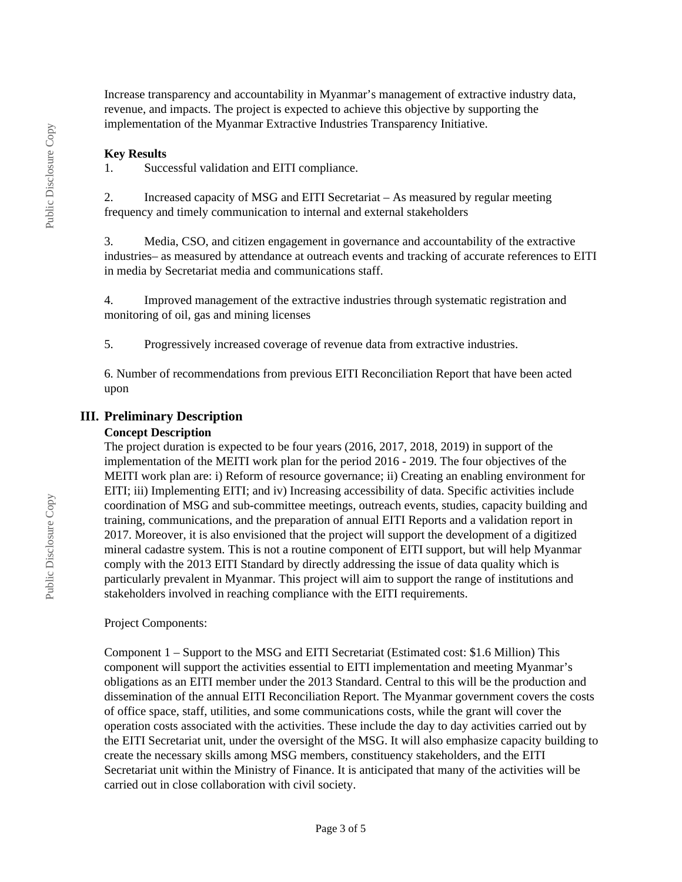Increase transparency and accountability in Myanmar's management of extractive industry data, revenue, and impacts. The project is expected to achieve this objective by supporting the implementation of the Myanmar Extractive Industries Transparency Initiative.

#### **Key Results**

1. Successful validation and EITI compliance.

2. Increased capacity of MSG and EITI Secretariat – As measured by regular meeting frequency and timely communication to internal and external stakeholders

3. Media, CSO, and citizen engagement in governance and accountability of the extractive industries– as measured by attendance at outreach events and tracking of accurate references to EITI in media by Secretariat media and communications staff.

4. Improved management of the extractive industries through systematic registration and monitoring of oil, gas and mining licenses

5. Progressively increased coverage of revenue data from extractive industries.

6. Number of recommendations from previous EITI Reconciliation Report that have been acted upon

#### **III. Preliminary Description**

#### **Concept Description**

The project duration is expected to be four years (2016, 2017, 2018, 2019) in support of the implementation of the MEITI work plan for the period 2016 - 2019. The four objectives of the MEITI work plan are: i) Reform of resource governance; ii) Creating an enabling environment for EITI; iii) Implementing EITI; and iv) Increasing accessibility of data. Specific activities include coordination of MSG and sub-committee meetings, outreach events, studies, capacity building and training, communications, and the preparation of annual EITI Reports and a validation report in 2017. Moreover, it is also envisioned that the project will support the development of a digitized mineral cadastre system. This is not a routine component of EITI support, but will help Myanmar comply with the 2013 EITI Standard by directly addressing the issue of data quality which is particularly prevalent in Myanmar. This project will aim to support the range of institutions and stakeholders involved in reaching compliance with the EITI requirements.

#### Project Components:

Component 1 – Support to the MSG and EITI Secretariat (Estimated cost: \$1.6 Million) This component will support the activities essential to EITI implementation and meeting Myanmar's obligations as an EITI member under the 2013 Standard. Central to this will be the production and dissemination of the annual EITI Reconciliation Report. The Myanmar government covers the costs of office space, staff, utilities, and some communications costs, while the grant will cover the operation costs associated with the activities. These include the day to day activities carried out by the EITI Secretariat unit, under the oversight of the MSG. It will also emphasize capacity building to create the necessary skills among MSG members, constituency stakeholders, and the EITI Secretariat unit within the Ministry of Finance. It is anticipated that many of the activities will be carried out in close collaboration with civil society.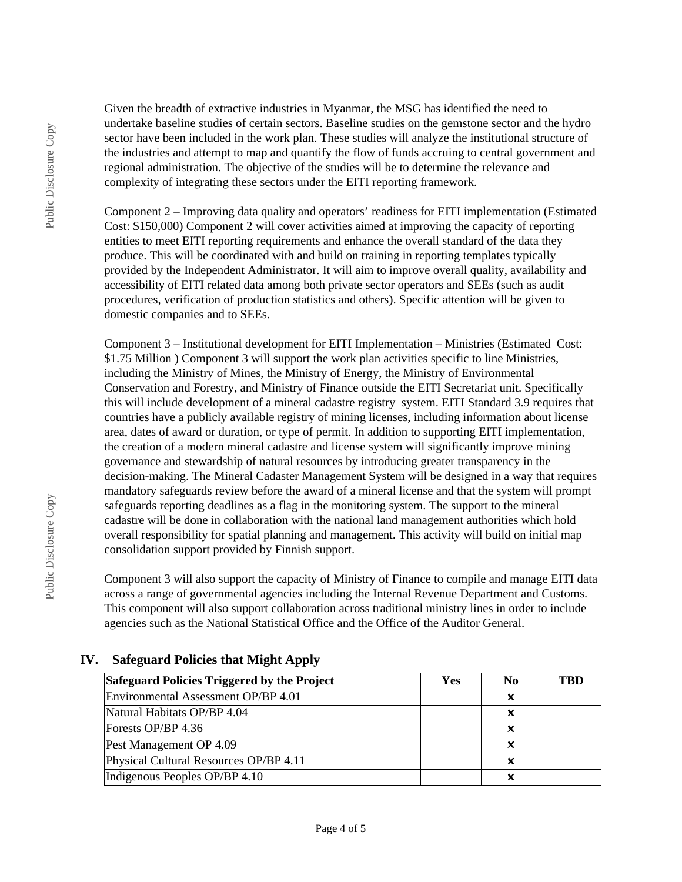Given the breadth of extractive industries in Myanmar, the MSG has identified the need to undertake baseline studies of certain sectors. Baseline studies on the gemstone sector and the hydro sector have been included in the work plan. These studies will analyze the institutional structure of the industries and attempt to map and quantify the flow of funds accruing to central government and regional administration. The objective of the studies will be to determine the relevance and complexity of integrating these sectors under the EITI reporting framework.

Component 2 – Improving data quality and operators' readiness for EITI implementation (Estimated Cost: \$150,000) Component 2 will cover activities aimed at improving the capacity of reporting entities to meet EITI reporting requirements and enhance the overall standard of the data they produce. This will be coordinated with and build on training in reporting templates typically provided by the Independent Administrator. It will aim to improve overall quality, availability and accessibility of EITI related data among both private sector operators and SEEs (such as audit procedures, verification of production statistics and others). Specific attention will be given to domestic companies and to SEEs.

Component 3 – Institutional development for EITI Implementation – Ministries (Estimated Cost: \$1.75 Million ) Component 3 will support the work plan activities specific to line Ministries, including the Ministry of Mines, the Ministry of Energy, the Ministry of Environmental Conservation and Forestry, and Ministry of Finance outside the EITI Secretariat unit. Specifically this will include development of a mineral cadastre registry system. EITI Standard 3.9 requires that countries have a publicly available registry of mining licenses, including information about license area, dates of award or duration, or type of permit. In addition to supporting EITI implementation, the creation of a modern mineral cadastre and license system will significantly improve mining governance and stewardship of natural resources by introducing greater transparency in the decision-making. The Mineral Cadaster Management System will be designed in a way that requires mandatory safeguards review before the award of a mineral license and that the system will prompt safeguards reporting deadlines as a flag in the monitoring system. The support to the mineral cadastre will be done in collaboration with the national land management authorities which hold overall responsibility for spatial planning and management. This activity will build on initial map consolidation support provided by Finnish support.

Component 3 will also support the capacity of Ministry of Finance to compile and manage EITI data across a range of governmental agencies including the Internal Revenue Department and Customs. This component will also support collaboration across traditional ministry lines in order to include agencies such as the National Statistical Office and the Office of the Auditor General.

| Safeguard Policies Triggered by the Project | Yes | N <sub>0</sub> | TBD |
|---------------------------------------------|-----|----------------|-----|
| Environmental Assessment OP/BP 4.01         |     |                |     |
| Natural Habitats OP/BP 4.04                 |     |                |     |
| Forests OP/BP 4.36                          |     |                |     |
| Pest Management OP 4.09                     |     |                |     |
| Physical Cultural Resources OP/BP 4.11      |     | x              |     |
| Indigenous Peoples OP/BP 4.10               |     |                |     |

# **IV. Safeguard Policies that Might Apply**